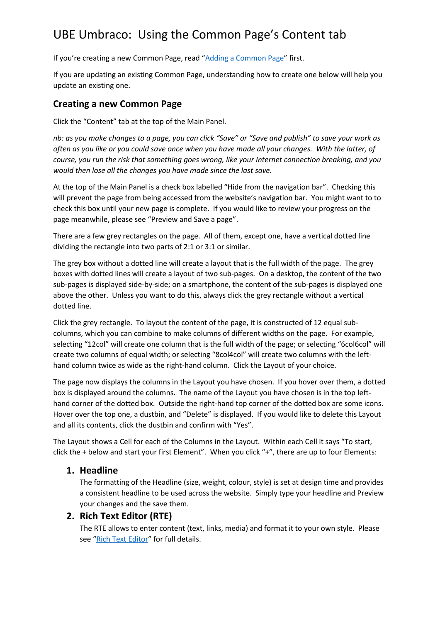# UBE Umbraco: Using the Common Page's Content tab

If you're creating a new Common Page, read "[Adding a Common Page](http://ubeumbraco.co.uk/media/13810/ube-umbraco-adding-a-common-page.pdf)" first.

If you are updating an existing Common Page, understanding how to create one below will help you update an existing one.

## **Creating a new Common Page**

Click the "Content" tab at the top of the Main Panel.

*nb: as you make changes to a page, you can click "Save" or "Save and publish" to save your work as often as you like or you could save once when you have made all your changes. With the latter, of course, you run the risk that something goes wrong, like your Internet connection breaking, and you would then lose all the changes you have made since the last save.*

At the top of the Main Panel is a check box labelled "Hide from the navigation bar". Checking this will prevent the page from being accessed from the website's navigation bar. You might want to to check this box until your new page is complete. If you would like to review your progress on the page meanwhile, please see "Preview and Save a page".

There are a few grey rectangles on the page. All of them, except one, have a vertical dotted line dividing the rectangle into two parts of 2:1 or 3:1 or similar.

The grey box without a dotted line will create a layout that is the full width of the page. The grey boxes with dotted lines will create a layout of two sub-pages. On a desktop, the content of the two sub-pages is displayed side-by-side; on a smartphone, the content of the sub-pages is displayed one above the other. Unless you want to do this, always click the grey rectangle without a vertical dotted line.

Click the grey rectangle. To layout the content of the page, it is constructed of 12 equal subcolumns, which you can combine to make columns of different widths on the page. For example, selecting "12col" will create one column that is the full width of the page; or selecting "6col6col" will create two columns of equal width; or selecting "8col4col" will create two columns with the lefthand column twice as wide as the right-hand column. Click the Layout of your choice.

The page now displays the columns in the Layout you have chosen. If you hover over them, a dotted box is displayed around the columns. The name of the Layout you have chosen is in the top lefthand corner of the dotted box. Outside the right-hand top corner of the dotted box are some icons. Hover over the top one, a dustbin, and "Delete" is displayed. If you would like to delete this Layout and all its contents, click the dustbin and confirm with "Yes".

The Layout shows a Cell for each of the Columns in the Layout. Within each Cell it says "To start, click the + below and start your first Element". When you click "+", there are up to four Elements:

## **1. Headline**

The formatting of the Headline (size, weight, colour, style) is set at design time and provides a consistent headline to be used across the website. Simply type your headline and Preview your changes and the save them.

#### **2. Rich Text Editor (RTE)**

The RTE allows to enter content (text, links, media) and format it to your own style. Please see "[Rich Text Editor](http://ubeumbraco.co.uk/media/13809/ube-umbraco-rich-text-editor.pdf)" for full details.